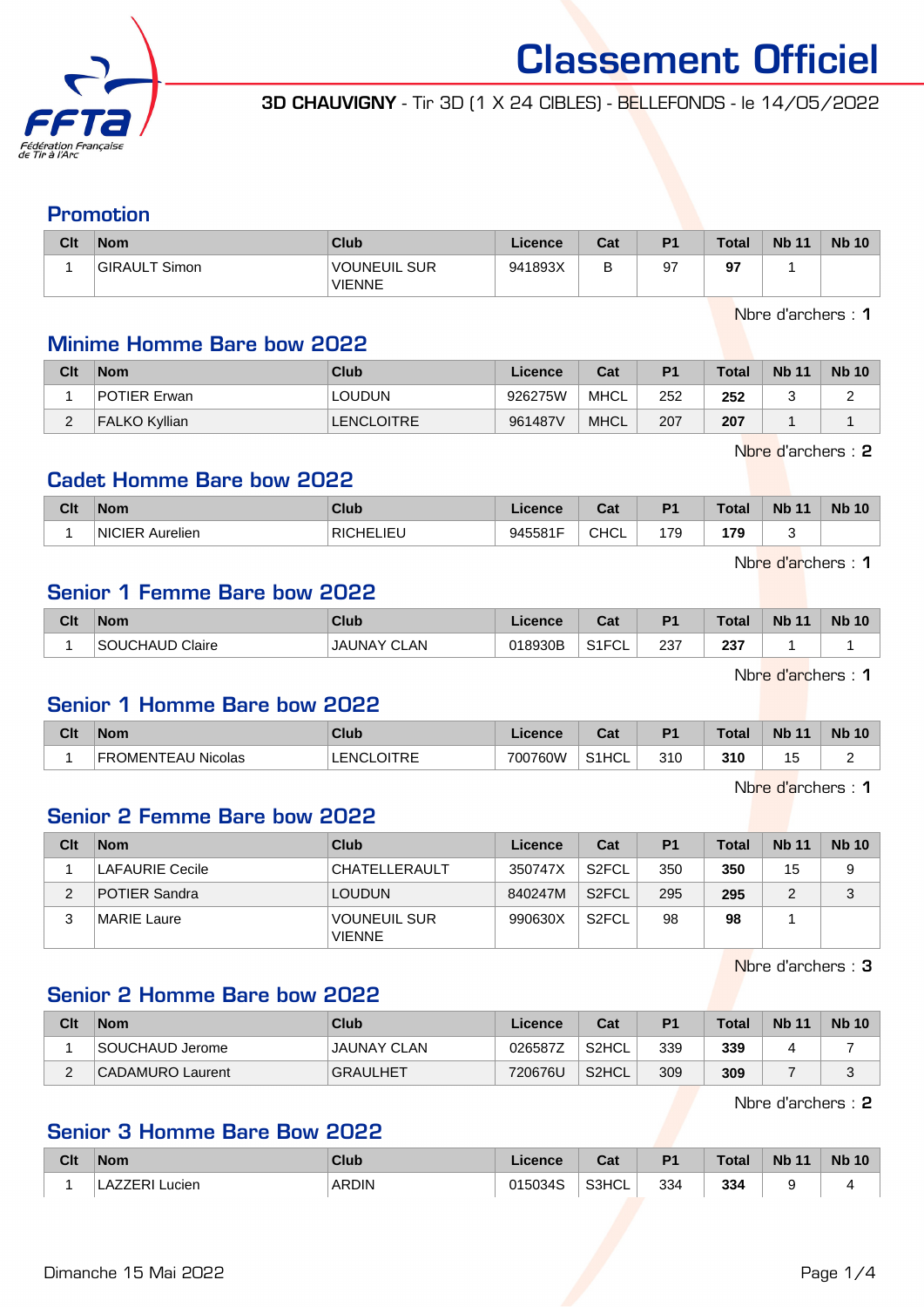

3D CHAUVIGNY - Tir 3D (1 X 24 CIBLES) - BELLEFONDS - le 14/05/2022

### Promotion

| Clt | <b>Nom</b>    | Club                                 | Licence | Cat | P <sub>1</sub> | <b>Total</b> | <b>Nb 11</b> | <b>Nb 10</b> |
|-----|---------------|--------------------------------------|---------|-----|----------------|--------------|--------------|--------------|
|     | GIRAULT Simon | <b>VOUNEUIL SUR</b><br><b>VIENNE</b> | 941893X | В   | 97             | 97           |              |              |

Nbre d'archers : 1

#### Minime Homme Bare bow 2022

| Clt      | <b>Nom</b>           | Club       | Licence | Cat         | P <sub>1</sub> | <b>Total</b> | <b>Nb 11</b> | <b>Nb 10</b> |
|----------|----------------------|------------|---------|-------------|----------------|--------------|--------------|--------------|
|          | POTIER Erwan         | LOUDUN     | 926275W | MHCL        | 252            | 252          |              | -            |
| <u>_</u> | <b>FALKO Kyllian</b> | LENCLOITRE | 961487V | <b>MHCL</b> | 207            | 207          |              |              |

Nbre d'archers : 2

#### Cadet Homme Bare bow 2022

| Clt | <b>Nom</b>                                 | Club                         | icence  | ◠fi<br>va.  | D <sub>4</sub> | <b>Total</b>  | <b>Nb</b><br>$-11$ | <b>Nb</b><br>10 |
|-----|--------------------------------------------|------------------------------|---------|-------------|----------------|---------------|--------------------|-----------------|
|     | $\cdots$<br><b>NICIER</b><br>Aurelien<br>. | IΕI<br><b>RICHEI</b><br>---- | 945581F | <b>CHCL</b> | 179<br>$\sim$  | 179<br>$\sim$ |                    |                 |

Nbre d'archers : 1

### Senior 1 Femme Bare bow 2022

| Clt | <b>Nom</b>      | Club                     | Licence | <b>Cat</b><br>val     | D <sub>1</sub> | <b>Total</b> | <b>N<sub>b</sub></b><br>$-44$ | <b>Nb 10</b> |
|-----|-----------------|--------------------------|---------|-----------------------|----------------|--------------|-------------------------------|--------------|
|     | SOUCHAUD Claire | JAUNAY C'<br><b>CLAN</b> | 018930B | C12C1<br>−∪∟<br>ا ا ب | 237            | 237          |                               |              |

Nbre d'archers : 1

#### Senior 1 Homme Bare bow 2022

| Clt | <b>Nom</b>                       | Club                       | .icence | $R_{\rm{min}}$<br>val | D <sub>1</sub> | <b>Total</b> | <b>N</b><br>$\overline{44}$ | <b>Nb 10</b> |
|-----|----------------------------------|----------------------------|---------|-----------------------|----------------|--------------|-----------------------------|--------------|
|     | TEAL<br>U Nicolas<br>วMFNT<br>ᄔᄓ | <b>OITRE</b><br><b>FNC</b> | 700760W | S1HCL                 | 310            | 310          | $\overline{A}$<br>ر .       | -            |

Nbre d'archers : 1

#### Senior 2 Femme Bare bow 2022

| Clt | <b>Nom</b>             | Club                                 | Licence | Cat                | P <sub>1</sub> | <b>Total</b> | <b>Nb 11</b> | <b>Nb</b> 10 |
|-----|------------------------|--------------------------------------|---------|--------------------|----------------|--------------|--------------|--------------|
|     | <b>LAFAURIE Cecile</b> | <b>CHATELLERAULT</b>                 | 350747X | S <sub>2</sub> FCL | 350            | 350          | 15           | 9            |
| 2   | <b>POTIER Sandra</b>   | <b>LOUDUN</b>                        | 840247M | S <sub>2</sub> FCL | 295            | 295          | 2            | 3            |
|     | MARIE Laure            | <b>VOUNEUIL SUR</b><br><b>VIENNE</b> | 990630X | S <sub>2</sub> FCL | 98             | 98           |              |              |

Nbre d'archers : 3

# Senior 2 Homme Bare bow 2022

| Clt | <b>Nom</b>       | Club               | Licence | Cat                | P <sub>1</sub> | <b>Total</b> | <b>Nb 11</b> | <b>Nb 10</b> |
|-----|------------------|--------------------|---------|--------------------|----------------|--------------|--------------|--------------|
|     | SOUCHAUD Jerome  | <b>JAUNAY CLAN</b> | 026587Z | S <sub>2</sub> HCL | 339            | 339          |              |              |
|     | CADAMURO Laurent | <b>GRAULHET</b>    | 720676U | S <sub>2</sub> HCL | 309            | 309          |              |              |

Nbre d'archers : 2

# Senior 3 Homme Bare Bow 2022

| Clt | <b>Nom</b>         | Club  | Licence | Cat   | <b>P1</b> | <b>Total</b> | <b>Nb 11</b> | <b>Nb 10</b> |
|-----|--------------------|-------|---------|-------|-----------|--------------|--------------|--------------|
|     | LAZZERI'<br>Lucien | ARDIN | 015034S | S3HCL | 334       | 334          | s.           |              |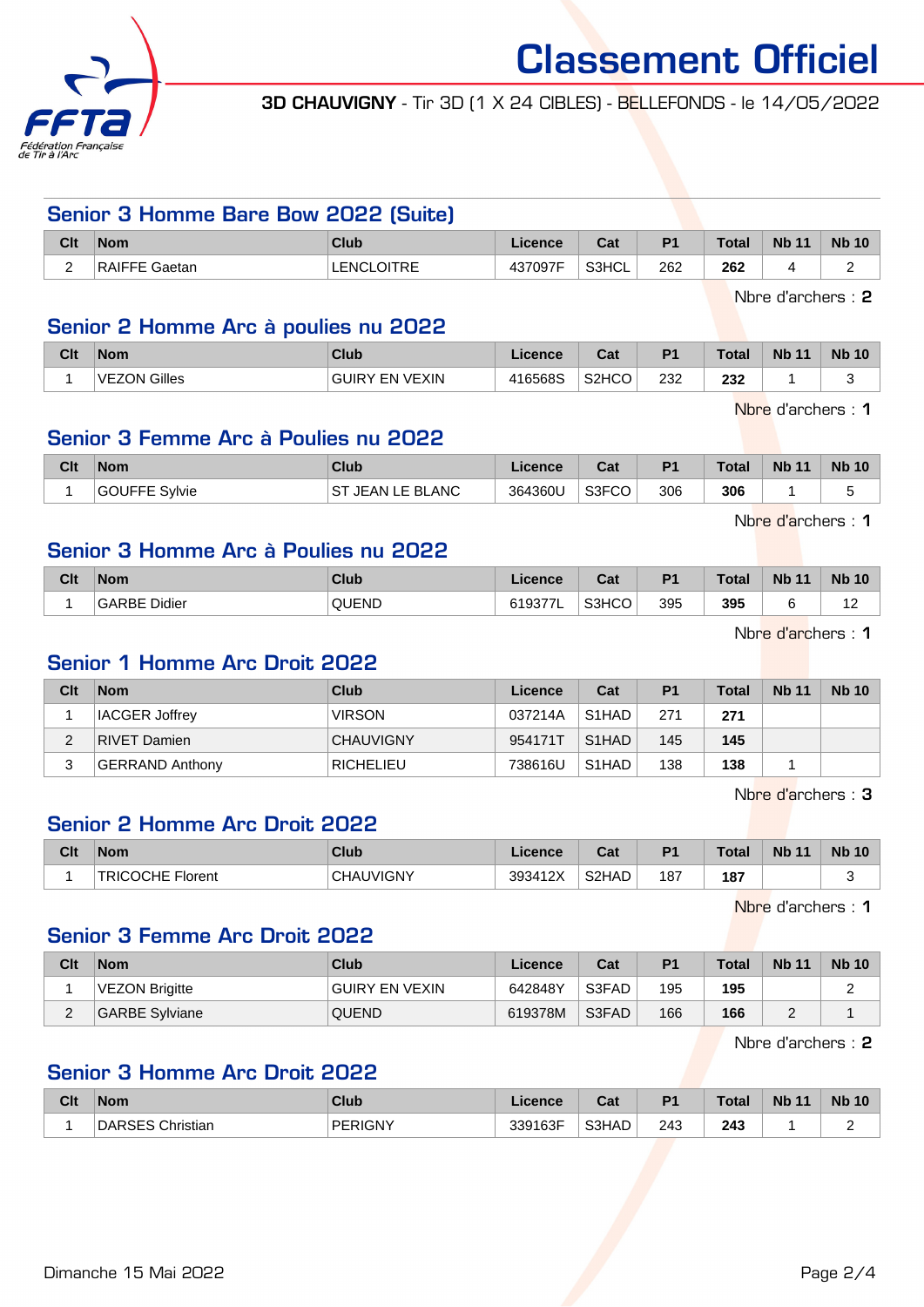

3D CHAUVIGNY - Tir 3D (1 X 24 CIBLES) - BELLEFONDS - le 14/05/2022

### Senior 3 Homme Bare Bow 2022 (Suite)

| Clt | <b>Nom</b>                    | <b>Club</b>                          | .icence | Cat   | P <sub>1</sub> | <b>Total</b>  | <b>Nb 11</b> | <b>Nb 10</b> |
|-----|-------------------------------|--------------------------------------|---------|-------|----------------|---------------|--------------|--------------|
|     | DAICEL<br>Saetan <sup>®</sup> | <b>OITRE</b><br><b>ENCI</b><br>◡╷╷╷∟ | 437097F | S3HCL | 262            | 262<br>$\sim$ |              |              |

Nbre d'archers : 2

#### Senior 2 Homme Arc à poulies nu 2022

| Clt | <b>Nom</b>          | Club                            | .icence | $R_{\rm{eff}}$<br>ual | D <sub>1</sub> | Total | <b>Nb</b><br>$\overline{A}$ | <b>Nb 10</b> |
|-----|---------------------|---------------------------------|---------|-----------------------|----------------|-------|-----------------------------|--------------|
|     | <b>VEZON Gilles</b> | <b>EN VEXIN</b><br><b>GUIRY</b> | 416568S | S <sub>2</sub> HCO    | 232            | 232   |                             |              |

Nbre d'archers : 1

# Senior 3 Femme Arc à Poulies nu 2022

| Clt | <b>Nom</b>              | Club                       | Licence | ่กื้อ≰<br>udi | P <sub>1</sub> | <b>Total</b> | <b>Nb 11</b> | <b>Nb 10</b> |
|-----|-------------------------|----------------------------|---------|---------------|----------------|--------------|--------------|--------------|
|     | <b>GOUFFE</b><br>Svlvie | <b>JEAN LE BLANC</b><br>SТ | 364360U | S3FCO         | 306            | 306          |              |              |

Nbre d'archers : 1

### Senior 3 Homme Arc à Poulies nu 2022

| Clt | <b>Nom</b>             | Club  | icence | Col.<br>val | D <sub>4</sub> | <b>Total</b> | <b>Nb</b><br>$-11$ | <b>N<sub>b</sub></b><br>10 |
|-----|------------------------|-------|--------|-------------|----------------|--------------|--------------------|----------------------------|
|     | Didier<br><b>GARBE</b> | QUEND | ິ      | S3HCO       | 395            | 395          |                    | $\overline{ }$<br>.        |

Nbre d'archers : 1

# Senior 1 Homme Arc Droit 2022

| Clt | <b>Nom</b>            | <b>Club</b>      | Licence | Cat                | P <sub>1</sub> | <b>Total</b> | <b>Nb 11</b> | <b>Nb 10</b> |
|-----|-----------------------|------------------|---------|--------------------|----------------|--------------|--------------|--------------|
|     | <b>IACGER Joffrey</b> | <b>VIRSON</b>    | 037214A | S1HAD              | 271            | 271          |              |              |
|     | RIVET Damien          | <b>CHAUVIGNY</b> | 954171T | S <sub>1</sub> HAD | 145            | 145          |              |              |
| 3   | GERRAND Anthony       | <b>RICHELIEU</b> | 738616U | S <sub>1</sub> HAD | 138            | 138          |              |              |

Nbre d'archers : 3

### Senior 2 Homme Arc Droit 2022

| Clt | <b>Nom</b>              | <b>Club</b>    | Licence | <b>Cost</b><br>ual | P <sub>1</sub> | Total | <b>Nb 11</b> | <b>Nb 10</b> |
|-----|-------------------------|----------------|---------|--------------------|----------------|-------|--------------|--------------|
|     | <b>TRICOCHE Florent</b> | JVIGNY<br>CHAU | 393412X | S <sub>2</sub> HAD | 187            | 187   |              | ∽<br>        |

Nbre d'archers : 1

### Senior 3 Femme Arc Droit 2022

| Clt         | <b>Nom</b>     | Club           | Licence | Cat   | P <sub>1</sub> | <b>Total</b> | <b>Nb 11</b> | <b>Nb 10</b> |
|-------------|----------------|----------------|---------|-------|----------------|--------------|--------------|--------------|
|             | VEZON Brigitte | GUIRY EN VEXIN | 642848Y | S3FAD | 195            | 195          |              |              |
| $\sim$<br>∠ | GARBE Sylviane | <b>QUEND</b>   | 619378M | S3FAD | 166            | 166          |              |              |

Nbre d'archers : 2

### Senior 3 Homme Arc Droit 2022

| Clt | <b>Nom</b> | <b>Club</b> | Licence          | <b>Tat</b><br>ual | D <sub>1</sub> | Total         | <b>Nb 11</b> | <b>Nb 10</b> |
|-----|------------|-------------|------------------|-------------------|----------------|---------------|--------------|--------------|
|     | ∩hristian  | PERIGNY     | 339163F<br>. აა⊢ | S3HAD             | 243<br>$\sim$  | 243<br>$\sim$ |              | -            |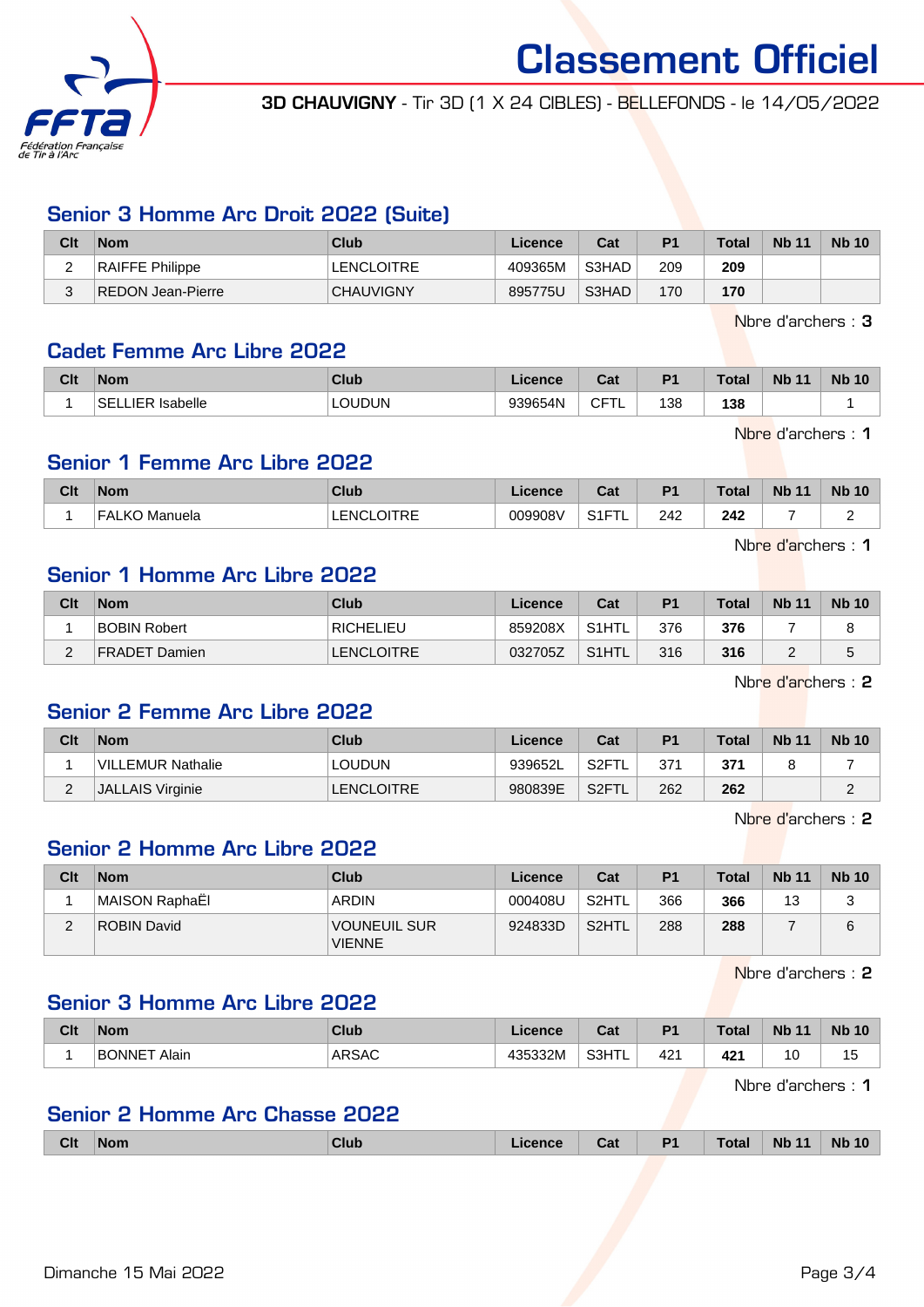

3D CHAUVIGNY - Tir 3D (1 X 24 CIBLES) - BELLEFONDS - le 14/05/2022

## Senior 3 Homme Arc Droit 2022 (Suite)

| Clt           | <b>Nom</b>             | Club              | Licence | Cat   | <b>P1</b> | <b>Total</b> | <b>Nb 11</b> | <b>Nb 10</b> |
|---------------|------------------------|-------------------|---------|-------|-----------|--------------|--------------|--------------|
| -<br><u>.</u> | <b>RAIFFE Philippe</b> | <b>LENCLOITRE</b> | 409365M | S3HAD | 209       | 209          |              |              |
| ⌒<br>ບ        | REDON Jean-Pierre      | <b>CHAUVIGNY</b>  | 895775U | S3HAD | 170       | 170          |              |              |

Nbre d'archers : 3

#### Cadet Femme Arc Libre 2022

| Clt | <b>Nom</b>                         | <b>Club</b>   | .icence | $\sim$<br>uai  | D <sub>1</sub> | <b>Total</b> | <b>Nb 11</b> | <b>Nb 10</b> |
|-----|------------------------------------|---------------|---------|----------------|----------------|--------------|--------------|--------------|
|     | <b>IER Isabelle</b><br>SEL<br>---- | <b>LOUDUN</b> | 939654N | ◝⊏⊤<br>ັ<br>╺╺ | 138            | 138          |              |              |

Nbre d'archers : 1

#### Senior 1 Femme Arc Libre 2022

| Clt | <b>Nom</b>              | <b>Club</b>                | <b>Licence</b> | $\sim$<br>uai        | D <sub>1</sub> | Total | <b>Nb 11</b> | <b>Nb 10</b> |
|-----|-------------------------|----------------------------|----------------|----------------------|----------------|-------|--------------|--------------|
|     | <b>FALKO</b><br>Manuela | <b>OITRE</b><br>LENCL<br>. | 009908V        | 0.15<br>″ ⊢<br>ا ا ت | 242            | 242   |              | ∽<br>-       |

Nbre d'archers : 1

# Senior 1 Homme Arc Libre 2022

| Clt | <b>Nom</b>          | Club              | Licence | Cat     | P <sub>1</sub> | <b>Total</b> | <b>Nb 11</b> | <b>Nb 10</b> |
|-----|---------------------|-------------------|---------|---------|----------------|--------------|--------------|--------------|
|     | <b>BOBIN Robert</b> | <b>RICHELIEU</b>  | 859208X | `S1HTL_ | 376            | 376          |              |              |
| -   | FRADET Damien       | <b>LENCLOITRE</b> | 032705Z | S1HTL   | 316            | 316          |              |              |

Nbre d'archers : 2

### Senior 2 Femme Arc Libre 2022

| Clt | <b>Nom</b>              | Club          | Licence | Cat                | P1  | Total | <b>Nb 11</b> | <b>Nb 10</b> |
|-----|-------------------------|---------------|---------|--------------------|-----|-------|--------------|--------------|
|     | VILLEMUR Nathalie       | <b>LOUDUN</b> | 939652L | ˈS2FTL             | 371 | 371   |              |              |
| ∠   | <b>JALLAIS Virginie</b> | LENCLOITRE    | 980839E | S2FTL <sup>®</sup> | 262 | 262   |              |              |

Nbre d'archers : 2

# Senior 2 Homme Arc Libre 2022

| Clt    | <b>Nom</b>     | Club                          | Licence | Cat   | P1  | <b>Total</b> | <b>Nb 11</b> | <b>Nb 10</b> |
|--------|----------------|-------------------------------|---------|-------|-----|--------------|--------------|--------------|
|        | MAISON RaphaEl | ARDIN                         | 000408U | S2HTL | 366 | 366          | 13           | ت            |
| ◠<br>∠ | ROBIN David    | VOUNEUIL SUR<br><b>VIENNE</b> | 924833D | S2HTL | 288 | 288          |              | 6            |

Nbre d'archers : 2

#### Senior 3 Homme Arc Libre 2022

| Clt | <b>Nom</b>              | <b>Club</b>   | icence  | $\sim$<br>ua | D <sub>1</sub> | <b>Total</b>    | <b>Nb</b><br>$-11$ | <b>Nb</b><br>10 |
|-----|-------------------------|---------------|---------|--------------|----------------|-----------------|--------------------|-----------------|
|     | <b>IRONNET</b><br>Alair | ARSAC<br>____ | 135332M | S3HTL<br>-   | 421            | 42 <sup>1</sup> | 10                 | ں ا             |

Nbre d'archers : 1

#### Senior 2 Homme Arc Chasse 2022

| <b>Clt</b> | <b>Nom</b> | <b>Club</b> | ∟icence | Cat | P <sub>1</sub> | <b>Total</b> | <b>Nb 11</b> | <b>Nb 10</b> |
|------------|------------|-------------|---------|-----|----------------|--------------|--------------|--------------|
|            |            |             |         |     |                |              |              |              |